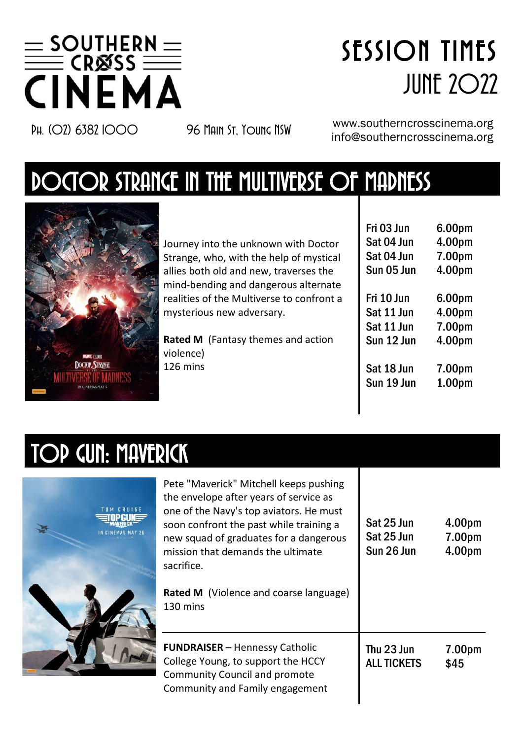

# SESSION TIMES **JUNE 2022**

PH. (O) 6382 IOOO 96 Main St, Young NSW www.southerncrosscinema.org info@southerncrosscinema.org

## DOCTOR STRANGE IN THE MULTIVERSE OF MADNESS



Journey into the unknown with Doctor Strange, who, with the help of mystical allies both old and new, traverses the mind-bending and dangerous alternate realities of the Multiverse to confront a mysterious new adversary.

**Rated M** (Fantasy themes and action violence) 126 mins

| Fri 03 Jun | 6.00pm             |
|------------|--------------------|
| Sat 04 Jun | 4.00pm             |
| Sat 04 Jun | 7.00pm             |
| Sun 05 Jun | 4.00pm             |
| Fri 10 Jun | 6.00pm             |
| Sat 11 Jun | 4.00pm             |
| Sat 11 Jun | 7.00pm             |
| Sun 12 Jun | 4.00pm             |
| Sat 18 Jun | 7.00pm             |
| Sun 19 Jun | 1.00 <sub>pm</sub> |

## TOP GUN: MAVERICK



| Pete "Maverick" Mitchell keeps pushing<br>the envelope after years of service as<br>one of the Navy's top aviators. He must<br>soon confront the past while training a<br>new squad of graduates for a dangerous<br>mission that demands the ultimate<br>sacrifice.<br>Rated M (Violence and coarse language)<br>130 mins | Sat 25 Jun<br>Sat 25 Jun<br>Sun 26 Jun | 4.00pm<br>7.00pm<br>4.00pm |
|---------------------------------------------------------------------------------------------------------------------------------------------------------------------------------------------------------------------------------------------------------------------------------------------------------------------------|----------------------------------------|----------------------------|
| <b>FUNDRAISER - Hennessy Catholic</b><br>College Young, to support the HCCY<br>Community Council and promote<br>Community and Family engagement                                                                                                                                                                           | Thu 23 Jun<br><b>ALL TICKETS</b>       | 7.00pm<br>\$45             |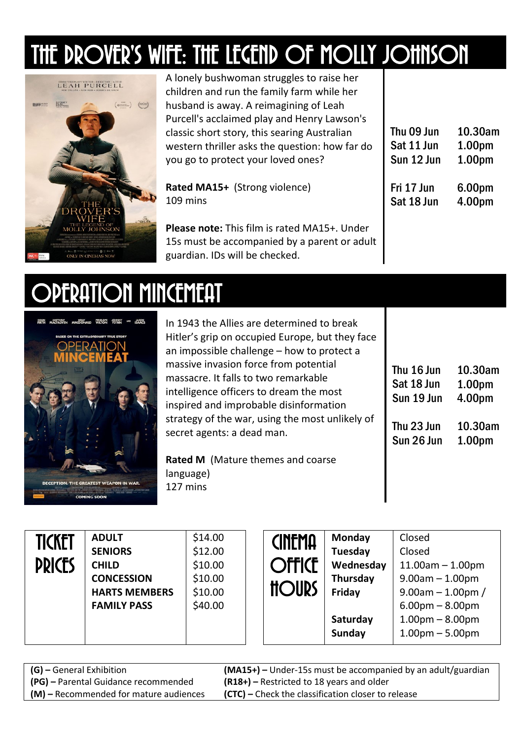## THE DROVER'S WIFE: THE LEGEND OF MOLLY JOHNSON



A lonely bushwoman struggles to raise her children and run the family farm while her husband is away. A reimagining of Leah Purcell's acclaimed play and Henry Lawson's classic short story, this searing Australian western thriller asks the question: how far do you go to protect your loved ones? **Rated MA15+** (Strong violence) 109 mins **Please note:** This film is rated MA15+. Under 15s must be accompanied by a parent or adult guardian. IDs will be checked. Thu 09 Jun Sat 11 Jun Sun 12 Jun Fri 17 Jun Sat 18 Jun 10.30am 1.00pm 1.00pm 6.00pm 4.00pm

#### OPERATION MINCEMEAT



In 1943 the Allies are determined to break Hitler's grip on occupied Europe, but they face an impossible challenge – how to protect a massive invasion force from potential massacre. It falls to two remarkable intelligence officers to dream the most inspired and improbable disinformation strategy of the war, using the most unlikely of secret agents: a dead man.

**Rated M** (Mature themes and coarse language) 127 mins

| Thu 16 Jun | 10.30am            |
|------------|--------------------|
| Sat 18 Jun | 1.00 <sub>pm</sub> |
| Sun 19 Jun | 4.00pm             |
|            |                    |
| Thu 23 Jun | 10.30am            |
| Sun 26 Jun | 1.00pm             |

| Ticket<br><b>PRICES</b> | <b>ADULT</b><br><b>SENIORS</b><br><b>CHILD</b><br><b>CONCESSION</b><br><b>HARTS MEMBERS</b><br><b>FAMILY PASS</b> | \$14.00<br>\$12.00<br>\$10.00<br>\$10.00<br>\$10.00<br>\$40.00 | <b>CINEMA</b><br><b>Offict</b><br><b>HOURS</b> | Monday<br>Tuesday<br>Wednesday<br>Thursday<br>Friday<br>Saturday | Closed<br>Closed<br>$11.00am - 1.00pm$<br>$9.00am - 1.00pm$<br>$9.00$ am $-1.00$ pm /<br>$6.00pm - 8.00pm$<br>$1.00pm - 8.00pm$ |
|-------------------------|-------------------------------------------------------------------------------------------------------------------|----------------------------------------------------------------|------------------------------------------------|------------------------------------------------------------------|---------------------------------------------------------------------------------------------------------------------------------|
|                         |                                                                                                                   |                                                                |                                                | Sunday                                                           | $1.00pm - 5.00pm$                                                                                                               |

| <b>(G)</b> – General Exhibition        | $(MA15+)$ – Under-15s must be accompanied by an adult/guardian |
|----------------------------------------|----------------------------------------------------------------|
| (PG) - Parental Guidance recommended   | $(R18+)$ – Restricted to 18 years and older                    |
| (M) – Recommended for mature audiences | <b>(CTC)</b> – Check the classification closer to release      |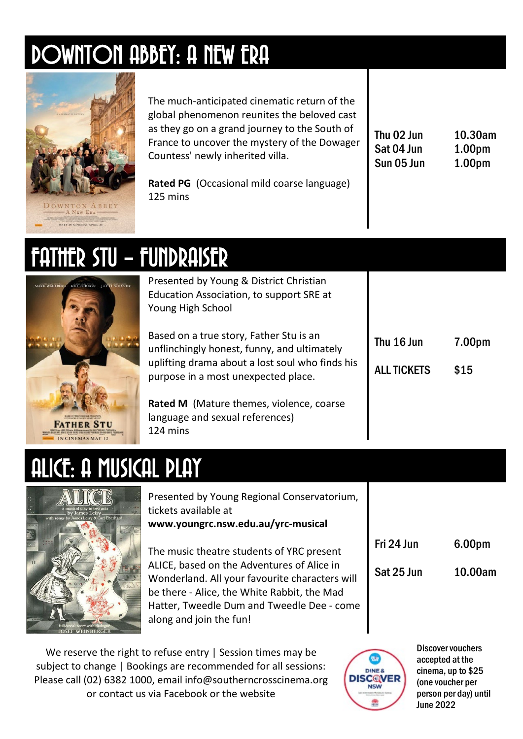## DOWNTON ABBEY: A NEW ERA



The much-anticipated cinematic return of the global phenomenon reunites the beloved cast as they go on a grand journey to the South of France to uncover the mystery of the Dowager Countess' newly inherited villa.

**Rated PG** (Occasional mild coarse language) 125 mins

| Thu 02 Jun | 10.30am            |
|------------|--------------------|
| Sat 04 Jun | 1.00 <sub>pm</sub> |
| Sun 05 Jun | 1.00 <sub>pm</sub> |

7.00pm

\$15

## FATHER STU – FUNDRAISER



Presented by Young & District Christian Education Association, to support SRE at Young High School

Based on a true story, Father Stu is an unflinchingly honest, funny, and ultimately uplifting drama about a lost soul who finds his purpose in a most unexpected place.

**Rated M** (Mature themes, violence, coarse language and sexual references) 124 mins

## ALICE: A MUSICAL PLAY



Presented by Young Regional Conservatorium, tickets available at **www.youngrc.nsw.edu.au/yrc-musical** 

The music theatre students of YRC present ALICE, based on the Adventures of Alice in Wonderland. All your favourite characters will be there - Alice, the White Rabbit, the Mad Hatter, Tweedle Dum and Tweedle Dee - come along and join the fun!

| Fri 24 Jun | 6.00pm  |
|------------|---------|
| Sat 25 Jun | 10.00am |

Thu 16 Jun

**ALL TICKETS** 

We reserve the right to refuse entry | Session times may be subject to change | Bookings are recommended for all sessions: Please call (02) 6382 1000, email info@southerncrosscinema.org or contact us via Facebook or the website



Discover vouchers accepted at the cinema, up to \$25 (one voucher per person per day) until June 2022